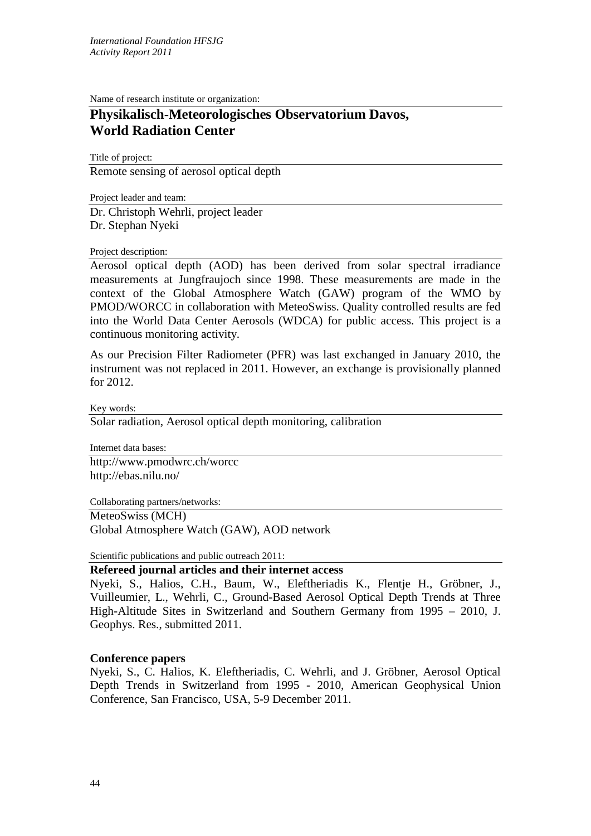Name of research institute or organization:

## **Physikalisch-Meteorologisches Observatorium Davos, World Radiation Center**

Title of project: Remote sensing of aerosol optical depth

Project leader and team: Dr. Christoph Wehrli, project leader Dr. Stephan Nyeki

## Project description:

Aerosol optical depth (AOD) has been derived from solar spectral irradiance measurements at Jungfraujoch since 1998. These measurements are made in the context of the Global Atmosphere Watch (GAW) program of the WMO by PMOD/WORCC in collaboration with MeteoSwiss. Quality controlled results are fed into the World Data Center Aerosols (WDCA) for public access. This project is a continuous monitoring activity.

As our Precision Filter Radiometer (PFR) was last exchanged in January 2010, the instrument was not replaced in 2011. However, an exchange is provisionally planned for 2012.

Key words:

Solar radiation, Aerosol optical depth monitoring, calibration

Internet data bases:

http://www.pmodwrc.ch/worcc http://ebas.nilu.no/

Collaborating partners/networks:

MeteoSwiss (MCH)

Global Atmosphere Watch (GAW), AOD network

Scientific publications and public outreach 2011:

**Refereed journal articles and their internet access**

Nyeki, S., Halios, C.H., Baum, W., Eleftheriadis K., Flentje H., Gröbner, J., Vuilleumier, L., Wehrli, C., Ground-Based Aerosol Optical Depth Trends at Three High-Altitude Sites in Switzerland and Southern Germany from 1995 – 2010, J. Geophys. Res., submitted 2011.

## **Conference papers**

Nyeki, S., C. Halios, K. Eleftheriadis, C. Wehrli, and J. Gröbner, Aerosol Optical Depth Trends in Switzerland from 1995 - 2010, American Geophysical Union Conference, San Francisco, USA, 5-9 December 2011.